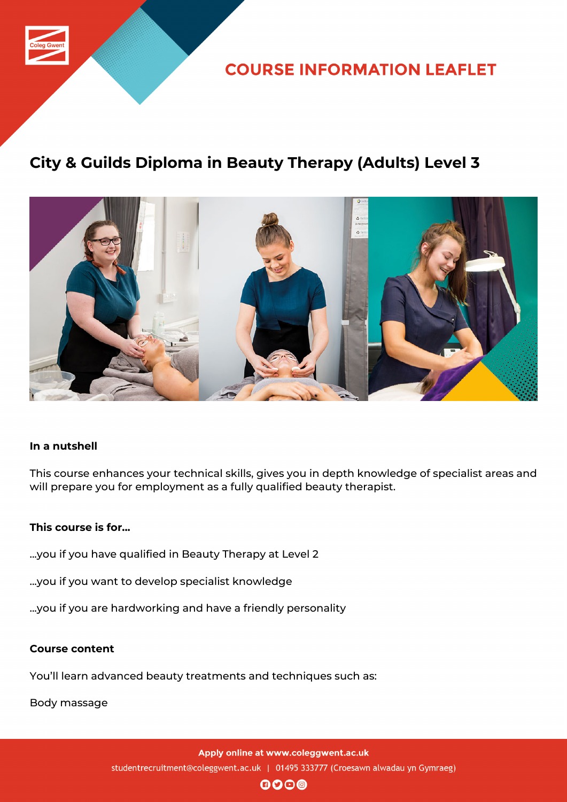

**COURSE INFORMATION LEAFLET** 

# **City & Guilds Diploma in Beauty Therapy (Adults) Level 3**



### **In a nutshell**

This course enhances your technical skills, gives you in depth knowledge of specialist areas and will prepare you for employment as a fully qualified beauty therapist.

### **This course is for...**

- ...you if you have qualified in Beauty Therapy at Level 2
- ...you if you want to develop specialist knowledge
- ...you if you are hardworking and have a friendly personality

#### **Course content**

You'll learn advanced beauty treatments and techniques such as:

Body massage

Apply online at www.coleggwent.ac.uk studentrecruitment@coleggwent.ac.uk | 01495 333777 (Croesawn alwadau yn Gymraeg)

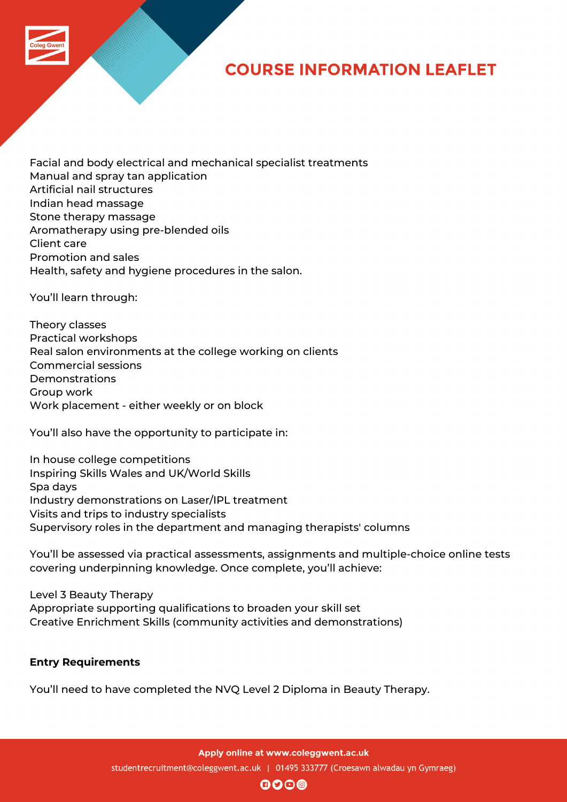

## **COURSE INFORMATION LEAFLET**

Facial and body electrical and mechanical specialist treatments Manual and spray tan application Artificial nail structures Indian head massage Stone therapy massage Aromatherapy using pre-blended oils Client care Promotion and sales Health, safety and hygiene procedures in the salon.

You'll learn through:

Theory classes Practical workshops Real salon environments at the college working on clients Commercial sessions Demonstrations Group work Work placement - either weekly or on block

You'll also have the opportunity to participate in:

In house college competitions Inspiring Skills Wales and UK/World Skills Spa days Industry demonstrations on Laser/IPL treatment Visits and trips to industry specialists Supervisory roles in the department and managing therapists' columns

You'll be assessed via practical assessments, assignments and multiple-choice online tests covering underpinning knowledge. Once complete, you'll achieve:

Level 3 Beauty Therapy Appropriate supporting qualifications to broaden your skill set Creative Enrichment Skills (community activities and demonstrations)

### **Entry Requirements**

You'll need to have completed the NVQ Level 2 Diploma in Beauty Therapy.

Apply online at www.coleggwent.ac.uk studentrecruitment@coleggwent.ac.uk | 01495 333777 (Croesawn alwadau yn Gymraeg)